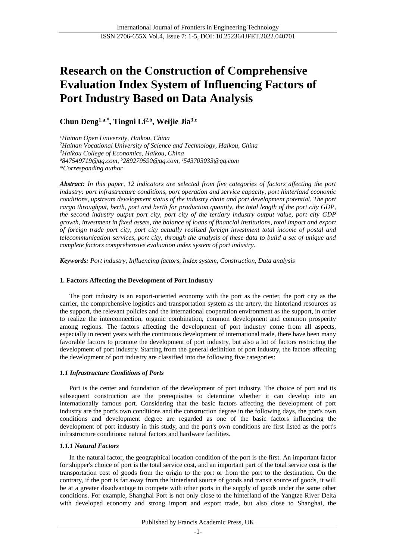# **Research on the Construction of Comprehensive Evaluation Index System of Influencing Factors of Port Industry Based on Data Analysis**

**Chun Deng1,a,\* , Tingni Li2,b , Weijie Jia3,c**

*<sup>1</sup>Hainan Open University, Haikou, China <sup>2</sup>Hainan Vocational University of Science and Technology, Haikou, China <sup>3</sup>Haikou College of Economics, Haikou, China <sup>a</sup>847549719@qq.com, <sup>b</sup>289279590@qq.com, <sup>c</sup>543703033@qq.com \*Corresponding author*

*Abstract: In this paper, 12 indicators are selected from five categories of factors affecting the port industry: port infrastructure conditions, port operation and service capacity, port hinterland economic conditions, upstream development status of the industry chain and port development potential. The port cargo throughput, berth, port and berth for production quantity, the total length of the port city GDP, the second industry output port city, port city of the tertiary industry output value, port city GDP growth, investment in fixed assets, the balance of loans of financial institutions, total import and export of foreign trade port city, port city actually realized foreign investment total income of postal and telecommunication services, port city, through the analysis of these data to build a set of unique and complete factors comprehensive evaluation index system of port industry.*

*Keywords: Port industry, Influencing factors, Index system, Construction, Data analysis*

# **1. Factors Affecting the Development of Port Industry**

The port industry is an export-oriented economy with the port as the center, the port city as the carrier, the comprehensive logistics and transportation system as the artery, the hinterland resources as the support, the relevant policies and the international cooperation environment as the support, in order to realize the interconnection, organic combination, common development and common prosperity among regions. The factors affecting the development of port industry come from all aspects, especially in recent years with the continuous development of international trade, there have been many favorable factors to promote the development of port industry, but also a lot of factors restricting the development of port industry. Starting from the general definition of port industry, the factors affecting the development of port industry are classified into the following five categories:

# *1.1 Infrastructure Conditions of Ports*

Port is the center and foundation of the development of port industry. The choice of port and its subsequent construction are the prerequisites to determine whether it can develop into an internationally famous port. Considering that the basic factors affecting the development of port industry are the port's own conditions and the construction degree in the following days, the port's own conditions and development degree are regarded as one of the basic factors influencing the development of port industry in this study, and the port's own conditions are first listed as the port's infrastructure conditions: natural factors and hardware facilities.

# *1.1.1 Natural Factors*

In the natural factor, the geographical location condition of the port is the first. An important factor for shipper's choice of port is the total service cost, and an important part of the total service cost is the transportation cost of goods from the origin to the port or from the port to the destination. On the contrary, if the port is far away from the hinterland source of goods and transit source of goods, it will be at a greater disadvantage to compete with other ports in the supply of goods under the same other conditions. For example, Shanghai Port is not only close to the hinterland of the Yangtze River Delta with developed economy and strong import and export trade, but also close to Shanghai, the

Published by Francis Academic Press, UK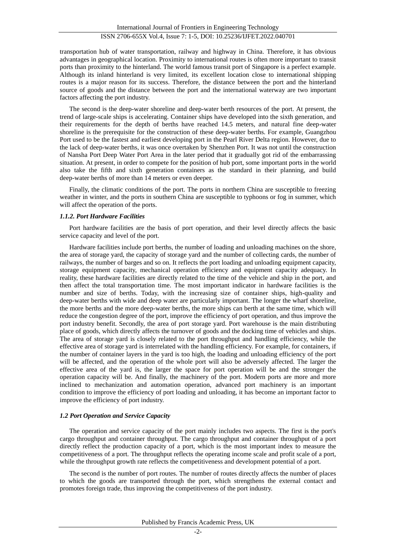transportation hub of water transportation, railway and highway in China. Therefore, it has obvious advantages in geographical location. Proximity to international routes is often more important to transit ports than proximity to the hinterland. The world famous transit port of Singapore is a perfect example. Although its inland hinterland is very limited, its excellent location close to international shipping routes is a major reason for its success. Therefore, the distance between the port and the hinterland source of goods and the distance between the port and the international waterway are two important factors affecting the port industry.

The second is the deep-water shoreline and deep-water berth resources of the port. At present, the trend of large-scale ships is accelerating. Container ships have developed into the sixth generation, and their requirements for the depth of berths have reached 14.5 meters, and natural fine deep-water shoreline is the prerequisite for the construction of these deep-water berths. For example, Guangzhou Port used to be the fastest and earliest developing port in the Pearl River Delta region. However, due to the lack of deep-water berths, it was once overtaken by Shenzhen Port. It was not until the construction of Nansha Port Deep Water Port Area in the later period that it gradually got rid of the embarrassing situation. At present, in order to compete for the position of hub port, some important ports in the world also take the fifth and sixth generation containers as the standard in their planning, and build deep-water berths of more than 14 meters or even deeper.

Finally, the climatic conditions of the port. The ports in northern China are susceptible to freezing weather in winter, and the ports in southern China are susceptible to typhoons or fog in summer, which will affect the operation of the ports.

#### *1.1.2. Port Hardware Facilities*

Port hardware facilities are the basis of port operation, and their level directly affects the basic service capacity and level of the port.

Hardware facilities include port berths, the number of loading and unloading machines on the shore, the area of storage yard, the capacity of storage yard and the number of collecting cards, the number of railways, the number of barges and so on. It reflects the port loading and unloading equipment capacity, storage equipment capacity, mechanical operation efficiency and equipment capacity adequacy. In reality, these hardware facilities are directly related to the time of the vehicle and ship in the port, and then affect the total transportation time. The most important indicator in hardware facilities is the number and size of berths. Today, with the increasing size of container ships, high-quality and deep-water berths with wide and deep water are particularly important. The longer the wharf shoreline, the more berths and the more deep-water berths, the more ships can berth at the same time, which will reduce the congestion degree of the port, improve the efficiency of port operation, and thus improve the port industry benefit. Secondly, the area of port storage yard. Port warehouse is the main distributing place of goods, which directly affects the turnover of goods and the docking time of vehicles and ships. The area of storage yard is closely related to the port throughput and handling efficiency, while the effective area of storage yard is interrelated with the handling efficiency. For example, for containers, if the number of container layers in the yard is too high, the loading and unloading efficiency of the port will be affected, and the operation of the whole port will also be adversely affected. The larger the effective area of the yard is, the larger the space for port operation will be and the stronger the operation capacity will be. And finally, the machinery of the port. Modern ports are more and more inclined to mechanization and automation operation, advanced port machinery is an important condition to improve the efficiency of port loading and unloading, it has become an important factor to improve the efficiency of port industry.

# *1.2 Port Operation and Service Capacity*

The operation and service capacity of the port mainly includes two aspects. The first is the port's cargo throughput and container throughput. The cargo throughput and container throughput of a port directly reflect the production capacity of a port, which is the most important index to measure the competitiveness of a port. The throughput reflects the operating income scale and profit scale of a port, while the throughput growth rate reflects the competitiveness and development potential of a port.

The second is the number of port routes. The number of routes directly affects the number of places to which the goods are transported through the port, which strengthens the external contact and promotes foreign trade, thus improving the competitiveness of the port industry.

Published by Francis Academic Press, UK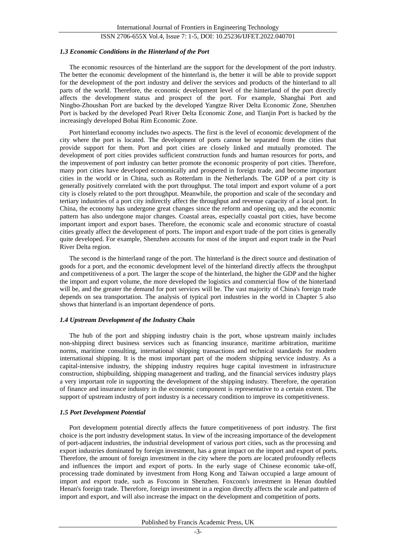# ISSN 2706-655X Vol.4, Issue 7: 1-5, DOI: 10.25236/IJFET.2022.040701

#### *1.3 Economic Conditions in the Hinterland of the Port*

The economic resources of the hinterland are the support for the development of the port industry. The better the economic development of the hinterland is, the better it will be able to provide support for the development of the port industry and deliver the services and products of the hinterland to all parts of the world. Therefore, the economic development level of the hinterland of the port directly affects the development status and prospect of the port. For example, Shanghai Port and Ningbo-Zhoushan Port are backed by the developed Yangtze River Delta Economic Zone, Shenzhen Port is backed by the developed Pearl River Delta Economic Zone, and Tianjin Port is backed by the increasingly developed Bohai Rim Economic Zone.

Port hinterland economy includes two aspects. The first is the level of economic development of the city where the port is located. The development of ports cannot be separated from the cities that provide support for them. Port and port cities are closely linked and mutually promoted. The development of port cities provides sufficient construction funds and human resources for ports, and the improvement of port industry can better promote the economic prosperity of port cities. Therefore, many port cities have developed economically and prospered in foreign trade, and become important cities in the world or in China, such as Rotterdam in the Netherlands. The GDP of a port city is generally positively correlated with the port throughput. The total import and export volume of a port city is closely related to the port throughput. Meanwhile, the proportion and scale of the secondary and tertiary industries of a port city indirectly affect the throughput and revenue capacity of a local port. In China, the economy has undergone great changes since the reform and opening up, and the economic pattern has also undergone major changes. Coastal areas, especially coastal port cities, have become important import and export bases. Therefore, the economic scale and economic structure of coastal cities greatly affect the development of ports. The import and export trade of the port cities is generally quite developed. For example, Shenzhen accounts for most of the import and export trade in the Pearl River Delta region.

The second is the hinterland range of the port. The hinterland is the direct source and destination of goods for a port, and the economic development level of the hinterland directly affects the throughput and competitiveness of a port. The larger the scope of the hinterland, the higher the GDP and the higher the import and export volume, the more developed the logistics and commercial flow of the hinterland will be, and the greater the demand for port services will be. The vast majority of China's foreign trade depends on sea transportation. The analysis of typical port industries in the world in Chapter 5 also shows that hinterland is an important dependence of ports.

#### *1.4 Upstream Development of the Industry Chain*

The hub of the port and shipping industry chain is the port, whose upstream mainly includes non-shipping direct business services such as financing insurance, maritime arbitration, maritime norms, maritime consulting, international shipping transactions and technical standards for modern international shipping. It is the most important part of the modern shipping service industry. As a capital-intensive industry, the shipping industry requires huge capital investment in infrastructure construction, shipbuilding, shipping management and trading, and the financial services industry plays a very important role in supporting the development of the shipping industry. Therefore, the operation of finance and insurance industry in the economic component is representative to a certain extent. The support of upstream industry of port industry is a necessary condition to improve its competitiveness.

#### *1.5 Port Development Potential*

Port development potential directly affects the future competitiveness of port industry. The first choice is the port industry development status. In view of the increasing importance of the development of port-adjacent industries, the industrial development of various port cities, such as the processing and export industries dominated by foreign investment, has a great impact on the import and export of ports. Therefore, the amount of foreign investment in the city where the ports are located profoundly reflects and influences the import and export of ports. In the early stage of Chinese economic take-off, processing trade dominated by investment from Hong Kong and Taiwan occupied a large amount of import and export trade, such as Foxconn in Shenzhen. Foxconn's investment in Henan doubled Henan's foreign trade. Therefore, foreign investment in a region directly affects the scale and pattern of import and export, and will also increase the impact on the development and competition of ports.

#### Published by Francis Academic Press, UK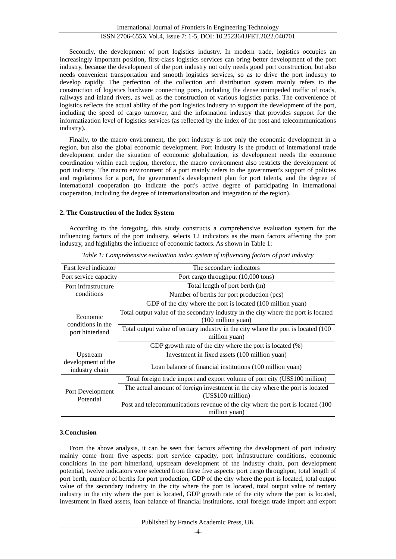Secondly, the development of port logistics industry. In modern trade, logistics occupies an increasingly important position, first-class logistics services can bring better development of the port industry, because the development of the port industry not only needs good port construction, but also needs convenient transportation and smooth logistics services, so as to drive the port industry to develop rapidly. The perfection of the collection and distribution system mainly refers to the construction of logistics hardware connecting ports, including the dense unimpeded traffic of roads, railways and inland rivers, as well as the construction of various logistics parks. The convenience of logistics reflects the actual ability of the port logistics industry to support the development of the port, including the speed of cargo turnover, and the information industry that provides support for the informatization level of logistics services (as reflected by the index of the post and telecommunications industry).

Finally, to the macro environment, the port industry is not only the economic development in a region, but also the global economic development. Port industry is the product of international trade development under the situation of economic globalization, its development needs the economic coordination within each region, therefore, the macro environment also restricts the development of port industry. The macro environment of a port mainly refers to the government's support of policies and regulations for a port, the government's development plan for port talents, and the degree of international cooperation (to indicate the port's active degree of participating in international cooperation, including the degree of internationalization and integration of the region).

#### **2. The Construction of the Index System**

According to the foregoing, this study constructs a comprehensive evaluation system for the influencing factors of the port industry, selects 12 indicators as the main factors affecting the port industry, and highlights the influence of economic factors. As shown in Table 1:

| First level indicator                            | The secondary indicators                                                                                 |
|--------------------------------------------------|----------------------------------------------------------------------------------------------------------|
| Port service capacity                            | Port cargo throughput (10,000 tons)                                                                      |
| Port infrastructure<br>conditions                | Total length of port berth (m)                                                                           |
|                                                  | Number of berths for port production (pcs)                                                               |
| Economic<br>conditions in the<br>port hinterland | GDP of the city where the port is located (100 million yuan)                                             |
|                                                  | Total output value of the secondary industry in the city where the port is located<br>(100 million yuan) |
|                                                  | Total output value of tertiary industry in the city where the port is located (100<br>million yuan)      |
|                                                  | GDP growth rate of the city where the port is located (%)                                                |
| Upstream<br>development of the<br>industry chain | Investment in fixed assets (100 million yuan)                                                            |
|                                                  | Loan balance of financial institutions (100 million yuan)                                                |
| Port Development<br>Potential                    | Total foreign trade import and export volume of port city (US\$100 million)                              |
|                                                  | The actual amount of foreign investment in the city where the port is located<br>(US\$100 million)       |
|                                                  | Post and telecommunications revenue of the city where the port is located (100)<br>million yuan)         |

*Table 1: Comprehensive evaluation index system of influencing factors of port industry*

#### **3.Conclusion**

From the above analysis, it can be seen that factors affecting the development of port industry mainly come from five aspects: port service capacity, port infrastructure conditions, economic conditions in the port hinterland, upstream development of the industry chain, port development potential, twelve indicators were selected from these five aspects: port cargo throughput, total length of port berth, number of berths for port production, GDP of the city where the port is located, total output value of the secondary industry in the city where the port is located, total output value of tertiary industry in the city where the port is located, GDP growth rate of the city where the port is located, investment in fixed assets, loan balance of financial institutions, total foreign trade import and export